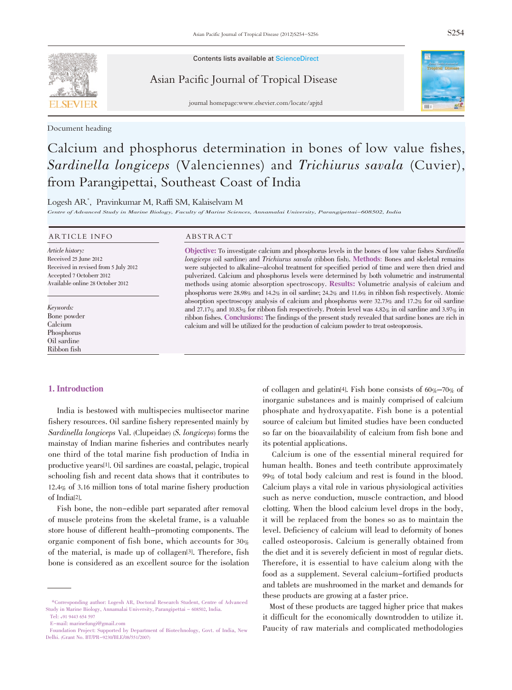Contents lists available at ScienceDirect

Asian Pacific Journal of Tropical Disease

journal homepage:www.elsevier.com/locate/apjtd

Document heading

# Calcium and phosphorus determination in bones of low value fishes, Sardinella longiceps (Valenciennes) and Trichiurus savala (Cuvier), from Parangipettai, Southeast Coast of India

Logesh AR\* , Pravinkumar M, Raffi SM, Kalaiselvam M

Centre of Advanced Study in Marine Biology, Faculty of Marine Sciences, Annamalai University, Parangipettai-608502, India

### ARTICLE INFO ABSTRACT

Article history: Received 25 June 2012 Received in revised from 5 July 2012 Accepted 7 Octoberr 2012 Available online 28 October 2012

Keywords: Bone powder Calcium Phosphorus Oil sardine Ribbon fish

Objective: To investigate calcium and phosphorus levels in the bones of low value fishes Sardinella longiceps (oil sardine) and Trichiurus savala (ribbon fish). Methods: Bones and skeletal remains were subjected to alkaline-alcohol treatment for specified period of time and were then dried and pulverized. Calcium and phosphorus levels were determined by both volumetric and instrumental methods using atomic absorption spectroscopy. Results: Volumetric analysis of calcium and phosphorus were 28.98% and 14.2% in oil sardine; 24.2% and 11.6% in ribbon fish respectively. Atomic absorption spectroscopy analysis of calcium and phosphorus were  $32.73\%$  and  $17.2\%$  for oil sardine and 27.17% and 10.83% for ribbon fish respectively. Protein level was 4.82% in oil sardine and 3.97% in ribbon fishes. Conclusions: The findings of the present study revealed that sardine bones are rich in calcium and will be utilized for the production of calcium powder to treat osteoporosis.

# 1. Introduction

India is bestowed with multispecies multisector marine fishery resources. Oil sardine fishery represented mainly by Sardinella longiceps Val. (Clupeidae) (S. longiceps) forms the mainstay of Indian marine fisheries and contributes nearly one third of the total marine fish production of India in productive years[1]. Oil sardines are coastal, pelagic, tropical schooling fish and recent data shows that it contributes to 12.4% of 3.16 million tons of total marine fishery production of India[2].

Fish bone, the non-edible part separated after removal of muscle proteins from the skeletal frame, is a valuable store house of different health-promoting components. The organic component of fish bone, which accounts for 30% of the material, is made up of collagen[3]. Therefore, fish bone is considered as an excellent source for the isolation

of collagen and gelatin<sup>[4]</sup>. Fish bone consists of  $60\% - 70\%$  of inorganic substances and is mainly comprised of calcium phosphate and hydroxyapatite. Fish bone is a potential source of calcium but limited studies have been conducted so far on the bioavailability of calcium from fish bone and its potential applications.

Calcium is one of the essential mineral required for human health. Bones and teeth contribute approximately 99% of total body calcium and rest is found in the blood. Calcium plays a vital role in various physiological activities such as nerve conduction, muscle contraction, and blood clotting. When the blood calcium level drops in the body, it will be replaced from the bones so as to maintain the level. Deficiency of calcium will lead to deformity of bones called osteoporosis. Calcium is generally obtained from the diet and it is severely deficient in most of regular diets. Therefore, it is essential to have calcium along with the food as a supplement. Several calcium-fortified products and tablets are mushroomed in the market and demands for these products are growing at a faster price.

Most of these products are tagged higher price that makes it difficult for the economically downtrodden to utilize it. Paucity of raw materials and complicated methodologies

<sup>\*</sup>Corresponding author: Logesh AR, Doctoral Research Student, Centre of Advanced Study in Marine Biology, Annamalai University, Parangipettai - 608502, India.

Tel: +91 9443 654 597

E-mail: marinefungi@gmail.com

Foundation Project: Supported by Department of Biotechnology, Govt. of India, New Delhi. (Grant No. BT/PR-9230/BLE/08/551/2007)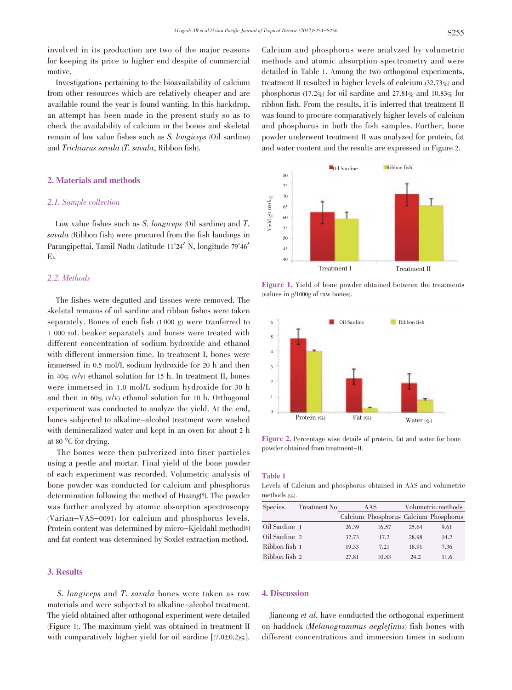involved in its production are two of the major reasons for keeping its price to higher end despite of commercial motive.

Investigations pertaining to the bioavailability of calcium from other resources which are relatively cheaper and are available round the year is found wanting. In this backdrop, an attempt has been made in the present study so as to check the availability of calcium in the bones and skeletal remain of low value fishes such as S. longiceps (Oil sardine) and Trichiurus savala (T. savala, Ribbon fish).

# 2. Materials and methods

## 2.1. Sample collection

Low value fishes such as S. *longiceps* (Oil sardine) and T. savala (Ribbon fish) were procured from the fish landings in Parangipettai, Tamil Nadu (latitude <sup>11</sup>°24' N, longitude <sup>79</sup>°46' E).

# 2.2. Methods

The fishes were degutted and tissues were removed. The skeletal remains of oil sardine and ribbon fishes were taken separately. Bones of each fish (1 000 g) were tranferred to 1 000 mL beaker separately and bones were treated with different concentration of sodium hydroxide and ethanol with different immersion time. In treatment I, bones were immersed in 0.5 mol/L sodium hydroxide for 20 h and then in 40%  $(v/v)$  ethanol solution for 15 h. In treatment II, bones were immersed in 1.0 mol/L sodium hydroxide for 30 h and then in  $60\%$  (v/v) ethanol solution for 10 h. Orthogonal experiment was conducted to analyze the yield. At the end, bones subjected to alkaline-alcohol treatment were washed with demineralized water and kept in an oven for about 2 h at <sup>80</sup> °C for drying.

The bones were then pulverized into finer particles using a pestle and mortar. Final yield of the bone powder of each experiment was recorded. Volumetric analysis of bone powder was conducted for calcium and phosphorus determination following the method of Huang[5]. The powder was further analyzed by atomic absorption spectroscopy (Varian–VAS-0091) for calcium and phosphorus levels. Protein content was determined by micro-Kjeldahl method[6] and fat content was determined by Soxlet extraction method.

# 3. Results

S. longiceps and T. savala bones were taken as raw materials and were subjected to alkaline-alcohol treatment. The yield obtained after orthogonal experiment were detailed (Figure 1). The maximum yield was obtained in treatment II with comparatively higher yield for oil sardine  $[(7.0\pm0.2)\%]$ .

Calcium and phosphorus were analyzed by volumetric methods and atomic absorption spectrometry and were detailed in Table 1. Among the two orthogonal experiments, treatment II resulted in higher levels of calcium (32.73%) and phosphorus (17.2%) for oil sardine and 27.81% and 10.83% for ribbon fish. From the results, it is inferred that treatment II was found to procure comparatively higher levels of calcium and phosphorus in both the fish samples. Further, bone powder underwent treatment II was analyzed for protein, fat and water content and the results are expressed in Figure 2.



Figure 1. Yield of bone powder obtained between the treatments (values in g/1000g of raw bones).



Figure 2. Percentage wise details of protein, fat and water for bone powder obtained from treatment-II.

#### Table 1

Levels of Calcium and phosphorus obtained in AAS and volumetric methods  $(\%).$ 

| <b>Species</b> | Treatment No | AAS   |                                       | Volumetric methods |      |
|----------------|--------------|-------|---------------------------------------|--------------------|------|
|                |              |       | Calcium Phosphorus Calcium Phosphorus |                    |      |
| Oil Sardine 1  |              | 26.39 | 16.57                                 | 25.64              | 9.61 |
| Oil Sardine 2  |              | 32.73 | 17.2                                  | 28.98              | 14.2 |
| Ribbon fish 1  |              | 19.33 | 7.21                                  | 18.91              | 7.36 |
| Ribbon fish 2  |              | 27.81 | 10.83                                 | 24.2               | 11.6 |

# 4. Discussion

Jiancong et al. have conducted the orthogonal experiment on haddock (Melanogrammus aeglefinus) fish bones with different concentrations and immersion times in sodium